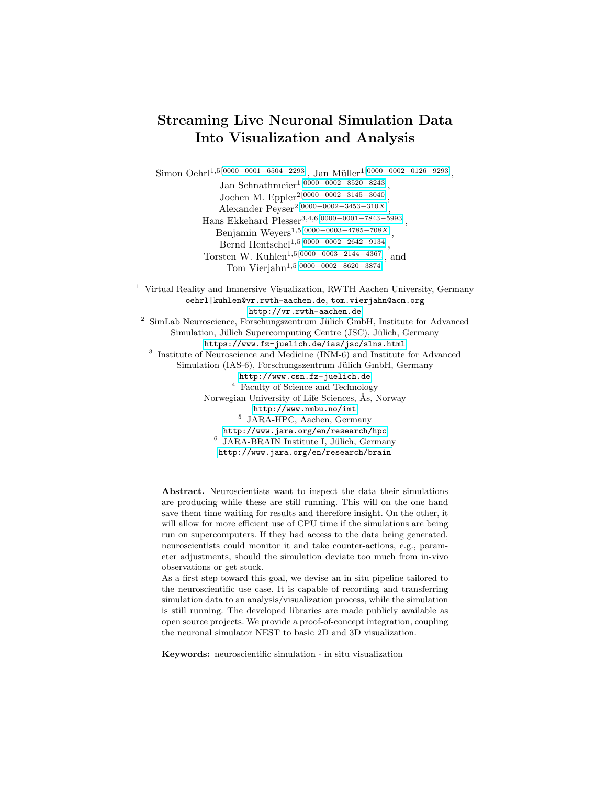# Streaming Live Neuronal Simulation Data Into Visualization and Analysis

Simon Oehrl<sup>1,5[\[0000](https://orcid.org/0000-0001-6504-2293)–0001–6504–2293]</sup>, Jan Müller<sup>1[0000–0002–0126–[9293\]](https://orcid.org/0000-0002-0126-9293)</sup>, Jan Schnathmeier1[\[0000](https://orcid.org/0000-0002-8520-8243)−0002−8520−8243] , Jochen M. Eppler2[\[0000](https://orcid.org/0000-0002-3145-3040)−0002−3145−3040] , Alexander Peyser<sup>2[\[0000](https://orcid.org/0000-0002-3453-310X)–0002–3453–310X]</sup>, Hans Ekkehard Plesser3,4,6[0000−0001−7843−[5993\]](https://orcid.org/0000-0001-7843-5993) , Benjamin Weyers<sup>1,5[\[0000](https://orcid.org/0000-0003-4785-708X)–0003–4785–708X]</sup>, Bernd Hentschel1,5[\[0000](https://orcid.org/0000-0002-2642-9134)−0002−2642−9134] , Torsten W. Kuhlen<sup>1,5</sup>[0000−0003−2144−[4367\]](https://orcid.org/0000-0003-2144-4367)<sub>,</sub> and Tom Vierjahn1,5[\[0000](https://orcid.org/0000-0002-8620-3874)−0002−8620−3874] <sup>1</sup> Virtual Reality and Immersive Visualization, RWTH Aachen University, Germany oehrl|kuhlen@vr.rwth-aachen.de, tom.vierjahn@acm.org <http://vr.rwth-aachen.de>

 $2$  SimLab Neuroscience, Forschungszentrum Jülich GmbH, Institute for Advanced Simulation, Jülich Supercomputing Centre (JSC), Jülich, Germany <https://www.fz-juelich.de/ias/jsc/slns.html> <sup>3</sup> Institute of Neuroscience and Medicine (INM-6) and Institute for Advanced Simulation (IAS-6), Forschungszentrum Jülich GmbH, Germany <http://www.csn.fz-juelich.de> <sup>4</sup> Faculty of Science and Technology Norwegian University of Life Sciences, Ås, Norway <http://www.nmbu.no/imt> 5 JARA-HPC, Aachen, Germany <http://www.jara.org/en/research/hpc> <sup>6</sup> JARA-BRAIN Institute I, Jülich, Germany <http://www.jara.org/en/research/brain>

Abstract. Neuroscientists want to inspect the data their simulations are producing while these are still running. This will on the one hand save them time waiting for results and therefore insight. On the other, it will allow for more efficient use of CPU time if the simulations are being run on supercomputers. If they had access to the data being generated, neuroscientists could monitor it and take counter-actions, e.g., parameter adjustments, should the simulation deviate too much from in-vivo observations or get stuck.

As a first step toward this goal, we devise an in situ pipeline tailored to the neuroscientific use case. It is capable of recording and transferring simulation data to an analysis/visualization process, while the simulation is still running. The developed libraries are made publicly available as open source projects. We provide a proof-of-concept integration, coupling the neuronal simulator NEST to basic 2D and 3D visualization.

Keywords: neuroscientific simulation  $\cdot$  in situ visualization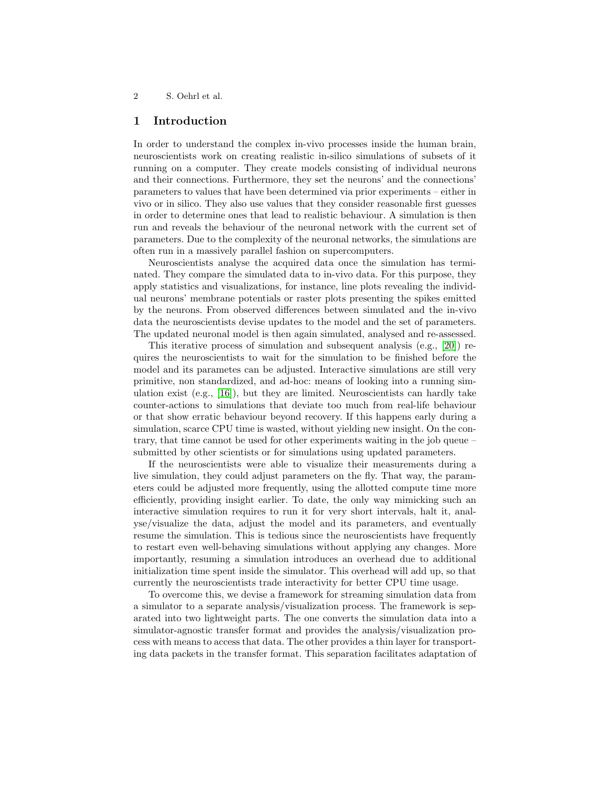## 1 Introduction

In order to understand the complex in-vivo processes inside the human brain, neuroscientists work on creating realistic in-silico simulations of subsets of it running on a computer. They create models consisting of individual neurons and their connections. Furthermore, they set the neurons' and the connections' parameters to values that have been determined via prior experiments – either in vivo or in silico. They also use values that they consider reasonable first guesses in order to determine ones that lead to realistic behaviour. A simulation is then run and reveals the behaviour of the neuronal network with the current set of parameters. Due to the complexity of the neuronal networks, the simulations are often run in a massively parallel fashion on supercomputers.

Neuroscientists analyse the acquired data once the simulation has terminated. They compare the simulated data to in-vivo data. For this purpose, they apply statistics and visualizations, for instance, line plots revealing the individual neurons' membrane potentials or raster plots presenting the spikes emitted by the neurons. From observed differences between simulated and the in-vivo data the neuroscientists devise updates to the model and the set of parameters. The updated neuronal model is then again simulated, analysed and re-assessed.

This iterative process of simulation and subsequent analysis (e.g., [\[20\]](#page-14-0)) requires the neuroscientists to wait for the simulation to be finished before the model and its parametes can be adjusted. Interactive simulations are still very primitive, non standardized, and ad-hoc: means of looking into a running simulation exist (e.g., [\[16\]](#page-14-1)), but they are limited. Neuroscientists can hardly take counter-actions to simulations that deviate too much from real-life behaviour or that show erratic behaviour beyond recovery. If this happens early during a simulation, scarce CPU time is wasted, without yielding new insight. On the contrary, that time cannot be used for other experiments waiting in the job queue – submitted by other scientists or for simulations using updated parameters.

If the neuroscientists were able to visualize their measurements during a live simulation, they could adjust parameters on the fly. That way, the parameters could be adjusted more frequently, using the allotted compute time more efficiently, providing insight earlier. To date, the only way mimicking such an interactive simulation requires to run it for very short intervals, halt it, analyse/visualize the data, adjust the model and its parameters, and eventually resume the simulation. This is tedious since the neuroscientists have frequently to restart even well-behaving simulations without applying any changes. More importantly, resuming a simulation introduces an overhead due to additional initialization time spent inside the simulator. This overhead will add up, so that currently the neuroscientists trade interactivity for better CPU time usage.

To overcome this, we devise a framework for streaming simulation data from a simulator to a separate analysis/visualization process. The framework is separated into two lightweight parts. The one converts the simulation data into a simulator-agnostic transfer format and provides the analysis/visualization process with means to access that data. The other provides a thin layer for transporting data packets in the transfer format. This separation facilitates adaptation of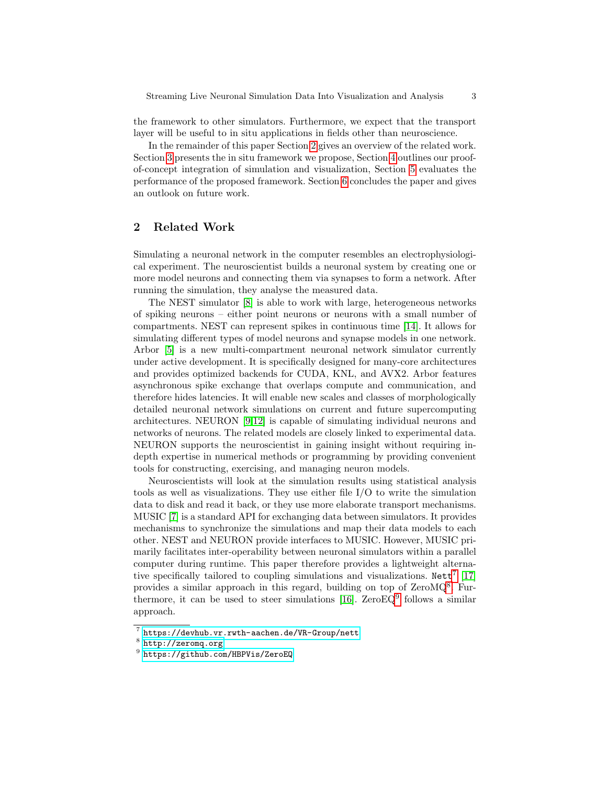the framework to other simulators. Furthermore, we expect that the transport layer will be useful to in situ applications in fields other than neuroscience.

In the remainder of this paper Section [2](#page-2-0) gives an overview of the related work. Section [3](#page-3-0) presents the in situ framework we propose, Section [4](#page-6-0) outlines our proofof-concept integration of simulation and visualization, Section [5](#page-10-0) evaluates the performance of the proposed framework. Section [6](#page-12-0) concludes the paper and gives an outlook on future work.

## <span id="page-2-0"></span>2 Related Work

Simulating a neuronal network in the computer resembles an electrophysiological experiment. The neuroscientist builds a neuronal system by creating one or more model neurons and connecting them via synapses to form a network. After running the simulation, they analyse the measured data.

The NEST simulator [\[8\]](#page-13-0) is able to work with large, heterogeneous networks of spiking neurons – either point neurons or neurons with a small number of compartments. NEST can represent spikes in continuous time [\[14\]](#page-14-2). It allows for simulating different types of model neurons and synapse models in one network. Arbor [\[5\]](#page-13-1) is a new multi-compartment neuronal network simulator currently under active development. It is specifically designed for many-core architectures and provides optimized backends for CUDA, KNL, and AVX2. Arbor features asynchronous spike exchange that overlaps compute and communication, and therefore hides latencies. It will enable new scales and classes of morphologically detailed neuronal network simulations on current and future supercomputing architectures. NEURON [\[9,](#page-13-2)[12\]](#page-14-3) is capable of simulating individual neurons and networks of neurons. The related models are closely linked to experimental data. NEURON supports the neuroscientist in gaining insight without requiring indepth expertise in numerical methods or programming by providing convenient tools for constructing, exercising, and managing neuron models.

Neuroscientists will look at the simulation results using statistical analysis tools as well as visualizations. They use either file I/O to write the simulation data to disk and read it back, or they use more elaborate transport mechanisms. MUSIC [\[7\]](#page-13-3) is a standard API for exchanging data between simulators. It provides mechanisms to synchronize the simulations and map their data models to each other. NEST and NEURON provide interfaces to MUSIC. However, MUSIC primarily facilitates inter-operability between neuronal simulators within a parallel computer during runtime. This paper therefore provides a lightweight alternative specifically tailored to coupling simulations and visualizations.  $Nett^{7}$  $Nett^{7}$  $Nett^{7}$  [\[17\]](#page-14-4) provides a similar approach in this regard, building on top of ZeroMQ<sup>[8](#page-2-2)</sup>. Fur-thermore, it can be used to steer simulations [\[16\]](#page-14-1).  $ZeroEQ<sup>9</sup>$  $ZeroEQ<sup>9</sup>$  $ZeroEQ<sup>9</sup>$  follows a similar approach.

<span id="page-2-1"></span><sup>7</sup> <https://devhub.vr.rwth-aachen.de/VR-Group/nett>

<span id="page-2-2"></span><sup>8</sup> <http://zeromq.org>

<span id="page-2-3"></span> $^9$  <https://github.com/HBPVis/ZeroEQ>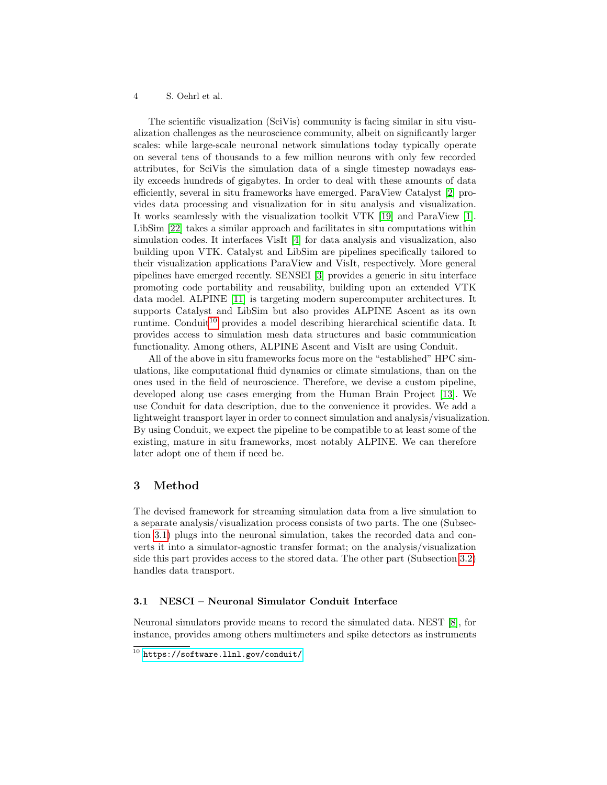The scientific visualization (SciVis) community is facing similar in situ visualization challenges as the neuroscience community, albeit on significantly larger scales: while large-scale neuronal network simulations today typically operate on several tens of thousands to a few million neurons with only few recorded attributes, for SciVis the simulation data of a single timestep nowadays easily exceeds hundreds of gigabytes. In order to deal with these amounts of data efficiently, several in situ frameworks have emerged. ParaView Catalyst [\[2\]](#page-13-4) provides data processing and visualization for in situ analysis and visualization. It works seamlessly with the visualization toolkit VTK [\[19\]](#page-14-5) and ParaView [\[1\]](#page-13-5). LibSim [\[22\]](#page-14-6) takes a similar approach and facilitates in situ computations within simulation codes. It interfaces VisIt [\[4\]](#page-13-6) for data analysis and visualization, also building upon VTK. Catalyst and LibSim are pipelines specifically tailored to their visualization applications ParaView and VisIt, respectively. More general pipelines have emerged recently. SENSEI [\[3\]](#page-13-7) provides a generic in situ interface promoting code portability and reusability, building upon an extended VTK data model. ALPINE [\[11\]](#page-13-8) is targeting modern supercomputer architectures. It supports Catalyst and LibSim but also provides ALPINE Ascent as its own runtime. Conduit<sup>[10](#page-3-1)</sup> provides a model describing hierarchical scientific data. It provides access to simulation mesh data structures and basic communication functionality. Among others, ALPINE Ascent and VisIt are using Conduit.

All of the above in situ frameworks focus more on the "established" HPC simulations, like computational fluid dynamics or climate simulations, than on the ones used in the field of neuroscience. Therefore, we devise a custom pipeline, developed along use cases emerging from the Human Brain Project [\[13\]](#page-14-7). We use Conduit for data description, due to the convenience it provides. We add a lightweight transport layer in order to connect simulation and analysis/visualization. By using Conduit, we expect the pipeline to be compatible to at least some of the existing, mature in situ frameworks, most notably ALPINE. We can therefore later adopt one of them if need be.

## <span id="page-3-0"></span>3 Method

The devised framework for streaming simulation data from a live simulation to a separate analysis/visualization process consists of two parts. The one (Subsection [3.1\)](#page-3-2) plugs into the neuronal simulation, takes the recorded data and converts it into a simulator-agnostic transfer format; on the analysis/visualization side this part provides access to the stored data. The other part (Subsection [3.2\)](#page-5-0) handles data transport.

#### <span id="page-3-2"></span>3.1 NESCI – Neuronal Simulator Conduit Interface

Neuronal simulators provide means to record the simulated data. NEST [\[8\]](#page-13-0), for instance, provides among others multimeters and spike detectors as instruments

<span id="page-3-1"></span> $\frac{10}{10}$  <https://software.llnl.gov/conduit/>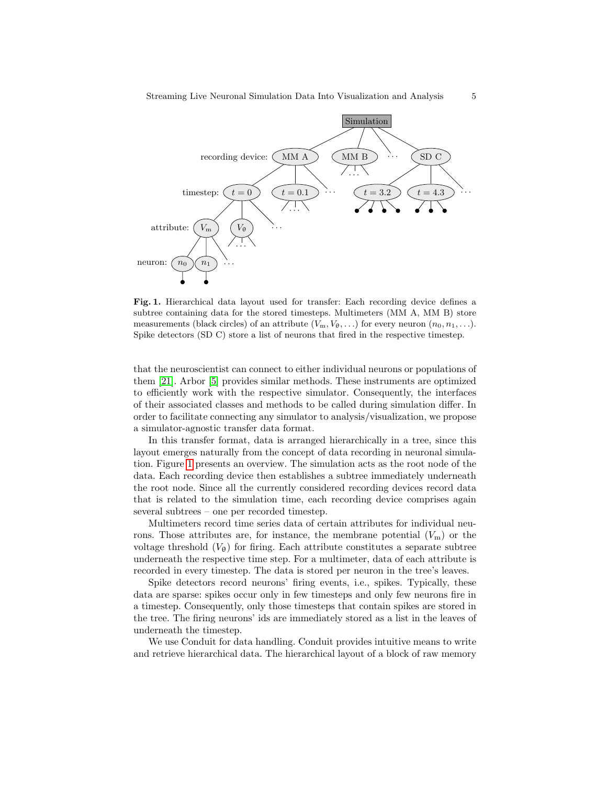

<span id="page-4-0"></span>Fig. 1. Hierarchical data layout used for transfer: Each recording device defines a subtree containing data for the stored timesteps. Multimeters (MM A, MM B) store measurements (black circles) of an attribute  $(V_m, V_\theta, \ldots)$  for every neuron  $(n_0, n_1, \ldots)$ . Spike detectors (SD C) store a list of neurons that fired in the respective timestep.

that the neuroscientist can connect to either individual neurons or populations of them [\[21\]](#page-14-8). Arbor [\[5\]](#page-13-1) provides similar methods. These instruments are optimized to efficiently work with the respective simulator. Consequently, the interfaces of their associated classes and methods to be called during simulation differ. In order to facilitate connecting any simulator to analysis/visualization, we propose a simulator-agnostic transfer data format.

In this transfer format, data is arranged hierarchically in a tree, since this layout emerges naturally from the concept of data recording in neuronal simulation. Figure [1](#page-4-0) presents an overview. The simulation acts as the root node of the data. Each recording device then establishes a subtree immediately underneath the root node. Since all the currently considered recording devices record data that is related to the simulation time, each recording device comprises again several subtrees – one per recorded timestep.

Multimeters record time series data of certain attributes for individual neurons. Those attributes are, for instance, the membrane potential  $(V<sub>m</sub>)$  or the voltage threshold  $(V_{\theta})$  for firing. Each attribute constitutes a separate subtree underneath the respective time step. For a multimeter, data of each attribute is recorded in every timestep. The data is stored per neuron in the tree's leaves.

Spike detectors record neurons' firing events, i.e., spikes. Typically, these data are sparse: spikes occur only in few timesteps and only few neurons fire in a timestep. Consequently, only those timesteps that contain spikes are stored in the tree. The firing neurons' ids are immediately stored as a list in the leaves of underneath the timestep.

We use Conduit for data handling. Conduit provides intuitive means to write and retrieve hierarchical data. The hierarchical layout of a block of raw memory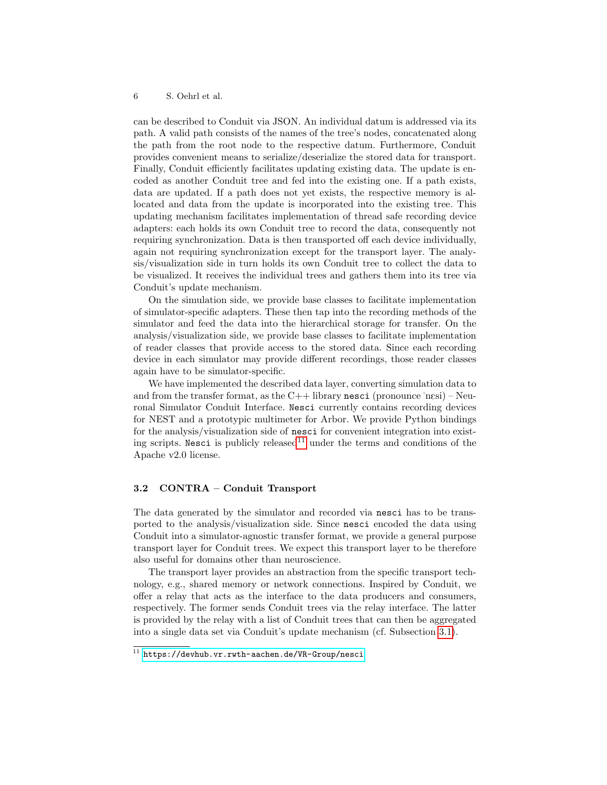can be described to Conduit via JSON. An individual datum is addressed via its path. A valid path consists of the names of the tree's nodes, concatenated along the path from the root node to the respective datum. Furthermore, Conduit provides convenient means to serialize/deserialize the stored data for transport. Finally, Conduit efficiently facilitates updating existing data. The update is encoded as another Conduit tree and fed into the existing one. If a path exists, data are updated. If a path does not yet exists, the respective memory is allocated and data from the update is incorporated into the existing tree. This updating mechanism facilitates implementation of thread safe recording device adapters: each holds its own Conduit tree to record the data, consequently not requiring synchronization. Data is then transported off each device individually, again not requiring synchronization except for the transport layer. The analysis/visualization side in turn holds its own Conduit tree to collect the data to be visualized. It receives the individual trees and gathers them into its tree via Conduit's update mechanism.

On the simulation side, we provide base classes to facilitate implementation of simulator-specific adapters. These then tap into the recording methods of the simulator and feed the data into the hierarchical storage for transfer. On the analysis/visualization side, we provide base classes to facilitate implementation of reader classes that provide access to the stored data. Since each recording device in each simulator may provide different recordings, those reader classes again have to be simulator-specific.

We have implemented the described data layer, converting simulation data to and from the transfer format, as the  $C++$  library nesci (pronounce 'nesi) – Neuronal Simulator Conduit Interface. Nesci currently contains recording devices for NEST and a prototypic multimeter for Arbor. We provide Python bindings for the analysis/visualization side of nesci for convenient integration into exist-ing scripts. Nesci is publicly released<sup>[11](#page-5-1)</sup> under the terms and conditions of the Apache v2.0 license.

### <span id="page-5-0"></span>3.2 CONTRA – Conduit Transport

The data generated by the simulator and recorded via nesci has to be transported to the analysis/visualization side. Since nesci encoded the data using Conduit into a simulator-agnostic transfer format, we provide a general purpose transport layer for Conduit trees. We expect this transport layer to be therefore also useful for domains other than neuroscience.

The transport layer provides an abstraction from the specific transport technology, e.g., shared memory or network connections. Inspired by Conduit, we offer a relay that acts as the interface to the data producers and consumers, respectively. The former sends Conduit trees via the relay interface. The latter is provided by the relay with a list of Conduit trees that can then be aggregated into a single data set via Conduit's update mechanism (cf. Subsection [3.1\)](#page-3-2).

<span id="page-5-1"></span> $11$  <https://devhub.vr.rwth-aachen.de/VR-Group/nesci>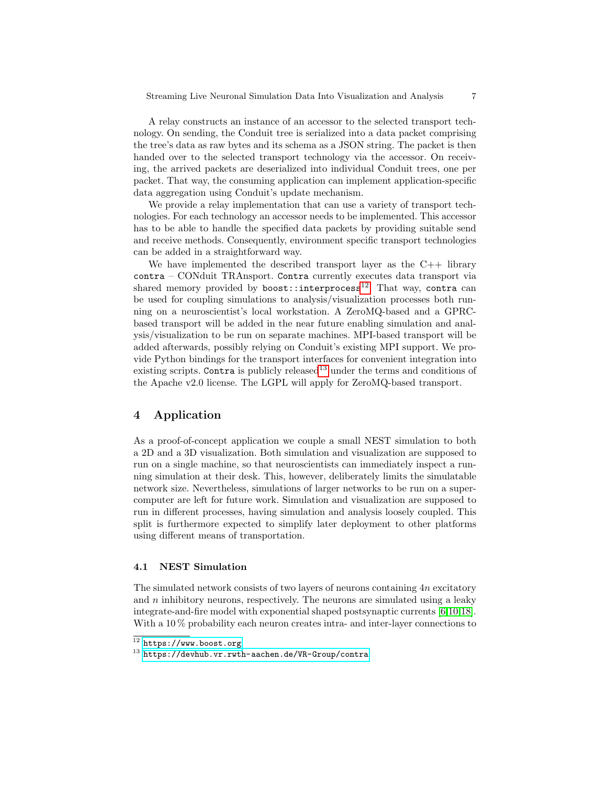A relay constructs an instance of an accessor to the selected transport technology. On sending, the Conduit tree is serialized into a data packet comprising the tree's data as raw bytes and its schema as a JSON string. The packet is then handed over to the selected transport technology via the accessor. On receiving, the arrived packets are deserialized into individual Conduit trees, one per packet. That way, the consuming application can implement application-specific data aggregation using Conduit's update mechanism.

We provide a relay implementation that can use a variety of transport technologies. For each technology an accessor needs to be implemented. This accessor has to be able to handle the specified data packets by providing suitable send and receive methods. Consequently, environment specific transport technologies can be added in a straightforward way.

We have implemented the described transport layer as the  $C_{++}$  library contra – CONduit TRAnsport. Contra currently executes data transport via shared memory provided by boost::interprocess<sup>[12](#page-6-1)</sup>. That way, contra can be used for coupling simulations to analysis/visualization processes both running on a neuroscientist's local workstation. A ZeroMQ-based and a GPRCbased transport will be added in the near future enabling simulation and analysis/visualization to be run on separate machines. MPI-based transport will be added afterwards, possibly relying on Conduit's existing MPI support. We provide Python bindings for the transport interfaces for convenient integration into existing scripts. Contra is publicly released<sup>[13](#page-6-2)</sup> under the terms and conditions of the Apache v2.0 license. The LGPL will apply for ZeroMQ-based transport.

## <span id="page-6-0"></span>4 Application

As a proof-of-concept application we couple a small NEST simulation to both a 2D and a 3D visualization. Both simulation and visualization are supposed to run on a single machine, so that neuroscientists can immediately inspect a running simulation at their desk. This, however, deliberately limits the simulatable network size. Nevertheless, simulations of larger networks to be run on a supercomputer are left for future work. Simulation and visualization are supposed to run in different processes, having simulation and analysis loosely coupled. This split is furthermore expected to simplify later deployment to other platforms using different means of transportation.

#### 4.1 NEST Simulation

The simulated network consists of two layers of neurons containing  $4n$  excitatory and  $n$  inhibitory neurons, respectively. The neurons are simulated using a leaky integrate-and-fire model with exponential shaped postsynaptic currents [\[6,](#page-13-9)[10,](#page-13-10)[18\]](#page-14-9). With a 10 % probability each neuron creates intra- and inter-layer connections to

<span id="page-6-1"></span> $12$  <https://www.boost.org>

<span id="page-6-2"></span> $13$  <https://devhub.vr.rwth-aachen.de/VR-Group/contra>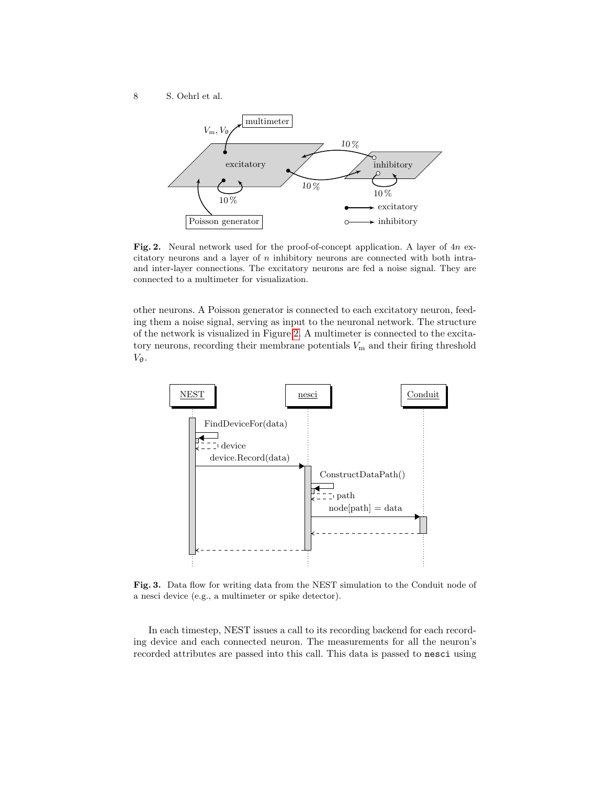8 S. Oehrl et al.



<span id="page-7-0"></span>Fig. 2. Neural network used for the proof-of-concept application. A layer of  $4n$  excitatory neurons and a layer of  $n$  inhibitory neurons are connected with both intraand inter-layer connections. The excitatory neurons are fed a noise signal. They are connected to a multimeter for visualization.

other neurons. A Poisson generator is connected to each excitatory neuron, feeding them a noise signal, serving as input to the neuronal network. The structure of the network is visualized in Figure [2.](#page-7-0) A multimeter is connected to the excitatory neurons, recording their membrane potentials  $V<sub>m</sub>$  and their firing threshold  $V_{\theta}$ .



<span id="page-7-1"></span>Fig. 3. Data flow for writing data from the NEST simulation to the Conduit node of a nesci device (e.g., a multimeter or spike detector).

In each timestep, NEST issues a call to its recording backend for each recording device and each connected neuron. The measurements for all the neuron's recorded attributes are passed into this call. This data is passed to nesci using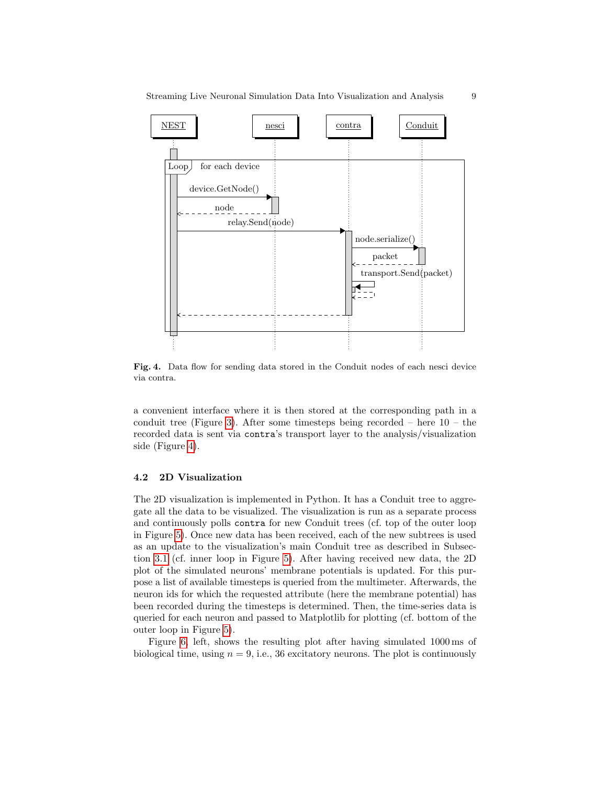

<span id="page-8-0"></span>Fig. 4. Data flow for sending data stored in the Conduit nodes of each nesci device via contra.

a convenient interface where it is then stored at the corresponding path in a conduit tree (Figure [3\)](#page-7-1). After some timesteps being recorded – here  $10 -$  the recorded data is sent via contra's transport layer to the analysis/visualization side (Figure [4\)](#page-8-0).

#### 4.2 2D Visualization

The 2D visualization is implemented in Python. It has a Conduit tree to aggregate all the data to be visualized. The visualization is run as a separate process and continuously polls contra for new Conduit trees (cf. top of the outer loop in Figure [5\)](#page-9-0). Once new data has been received, each of the new subtrees is used as an update to the visualization's main Conduit tree as described in Subsection [3.1](#page-3-2) (cf. inner loop in Figure [5\)](#page-9-0). After having received new data, the 2D plot of the simulated neurons' membrane potentials is updated. For this purpose a list of available timesteps is queried from the multimeter. Afterwards, the neuron ids for which the requested attribute (here the membrane potential) has been recorded during the timesteps is determined. Then, the time-series data is queried for each neuron and passed to Matplotlib for plotting (cf. bottom of the outer loop in Figure [5\)](#page-9-0).

Figure [6,](#page-10-1) left, shows the resulting plot after having simulated 1000 ms of biological time, using  $n = 9$ , i.e., 36 excitatory neurons. The plot is continuously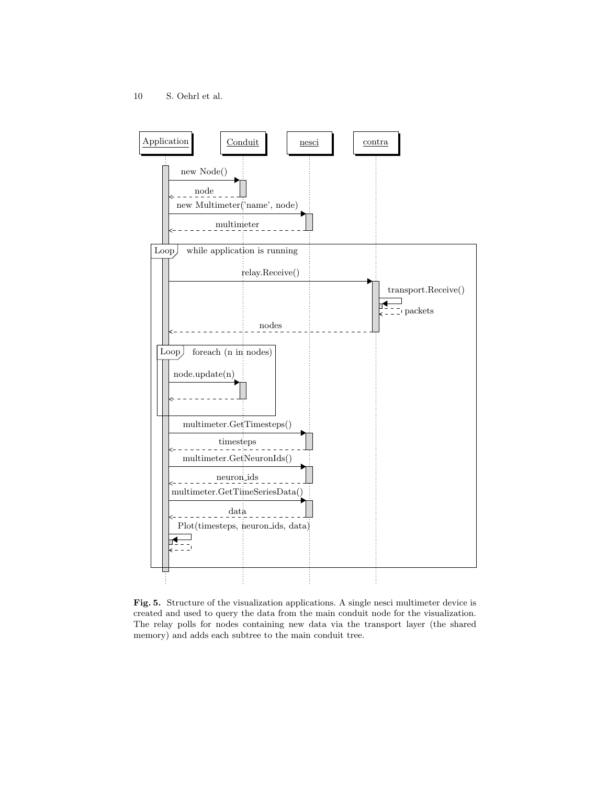

<span id="page-9-0"></span>Fig. 5. Structure of the visualization applications. A single nesci multimeter device is created and used to query the data from the main conduit node for the visualization. The relay polls for nodes containing new data via the transport layer (the shared memory) and adds each subtree to the main conduit tree.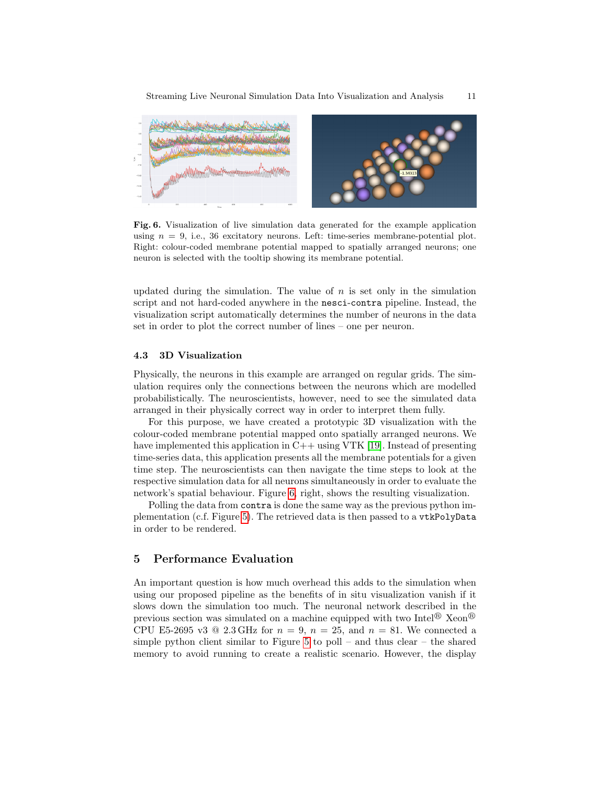

<span id="page-10-1"></span>Fig. 6. Visualization of live simulation data generated for the example application using  $n = 9$ , i.e., 36 excitatory neurons. Left: time-series membrane-potential plot. Right: colour-coded membrane potential mapped to spatially arranged neurons; one neuron is selected with the tooltip showing its membrane potential.

updated during the simulation. The value of  $n$  is set only in the simulation script and not hard-coded anywhere in the nesci-contra pipeline. Instead, the visualization script automatically determines the number of neurons in the data set in order to plot the correct number of lines – one per neuron.

#### 4.3 3D Visualization

Physically, the neurons in this example are arranged on regular grids. The simulation requires only the connections between the neurons which are modelled probabilistically. The neuroscientists, however, need to see the simulated data arranged in their physically correct way in order to interpret them fully.

For this purpose, we have created a prototypic 3D visualization with the colour-coded membrane potential mapped onto spatially arranged neurons. We have implemented this application in C++ using VTK [\[19\]](#page-14-5). Instead of presenting time-series data, this application presents all the membrane potentials for a given time step. The neuroscientists can then navigate the time steps to look at the respective simulation data for all neurons simultaneously in order to evaluate the network's spatial behaviour. Figure [6,](#page-10-1) right, shows the resulting visualization.

Polling the data from contra is done the same way as the previous python implementation (c.f. Figure [5\)](#page-9-0). The retrieved data is then passed to a vtkPolyData in order to be rendered.

## <span id="page-10-0"></span>5 Performance Evaluation

An important question is how much overhead this adds to the simulation when using our proposed pipeline as the benefits of in situ visualization vanish if it slows down the simulation too much. The neuronal network described in the previous section was simulated on a machine equipped with two Intel<sup>®</sup> Xeon<sup>®</sup> CPU E5-2695 v3  $\textcircled{2.3}$  GHz for  $n = 9$ ,  $n = 25$ , and  $n = 81$ . We connected a simple python client similar to Figure [5](#page-9-0) to poll – and thus clear – the shared memory to avoid running to create a realistic scenario. However, the display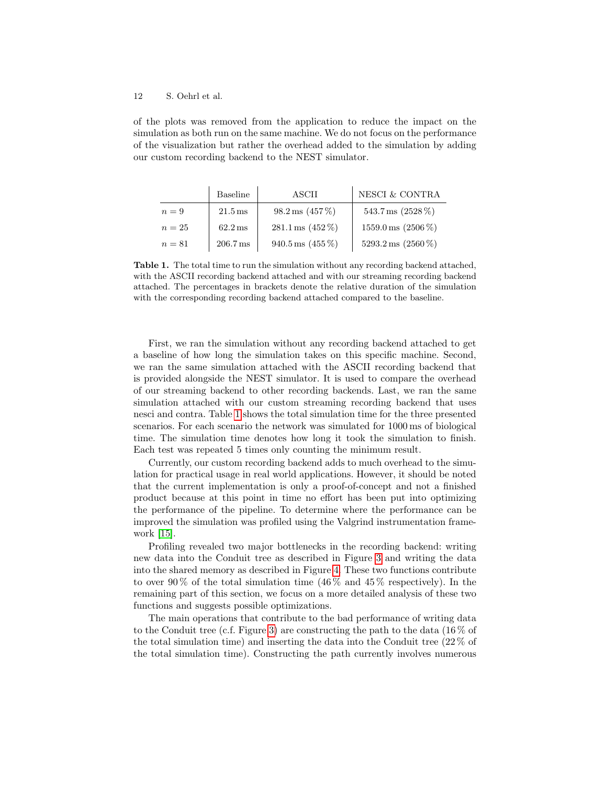of the plots was removed from the application to reduce the impact on the simulation as both run on the same machine. We do not focus on the performance of the visualization but rather the overhead added to the simulation by adding our custom recording backend to the NEST simulator.

|        | Baseline              | ASCII                           | NESCI & CONTRA                  |
|--------|-----------------------|---------------------------------|---------------------------------|
| $n=9$  | $21.5 \,\mathrm{ms}$  | $98.2 \,\mathrm{ms}$ (457 %)    | 543.7 ms $(2528\%)$             |
| $n=25$ | $62.2 \,\mathrm{ms}$  | $281.1 \,\text{ms} \ (452\,\%)$ | $1559.0 \,\mathrm{ms}$ (2506 %) |
| $n=81$ | $206.7 \,\mathrm{ms}$ | $940.5 \,\mathrm{ms}$ (455 %)   | $5293.2 \,\mathrm{ms}$ (2560 %) |

<span id="page-11-0"></span>Table 1. The total time to run the simulation without any recording backend attached, with the ASCII recording backend attached and with our streaming recording backend attached. The percentages in brackets denote the relative duration of the simulation with the corresponding recording backend attached compared to the baseline.

First, we ran the simulation without any recording backend attached to get a baseline of how long the simulation takes on this specific machine. Second, we ran the same simulation attached with the ASCII recording backend that is provided alongside the NEST simulator. It is used to compare the overhead of our streaming backend to other recording backends. Last, we ran the same simulation attached with our custom streaming recording backend that uses nesci and contra. Table [1](#page-11-0) shows the total simulation time for the three presented scenarios. For each scenario the network was simulated for 1000 ms of biological time. The simulation time denotes how long it took the simulation to finish. Each test was repeated 5 times only counting the minimum result.

Currently, our custom recording backend adds to much overhead to the simulation for practical usage in real world applications. However, it should be noted that the current implementation is only a proof-of-concept and not a finished product because at this point in time no effort has been put into optimizing the performance of the pipeline. To determine where the performance can be improved the simulation was profiled using the Valgrind instrumentation framework [\[15\]](#page-14-10).

Profiling revealed two major bottlenecks in the recording backend: writing new data into the Conduit tree as described in Figure [3](#page-7-1) and writing the data into the shared memory as described in Figure [4.](#page-8-0) These two functions contribute to over 90% of the total simulation time  $(46\%$  and  $45\%$  respectively). In the remaining part of this section, we focus on a more detailed analysis of these two functions and suggests possible optimizations.

The main operations that contribute to the bad performance of writing data to the Conduit tree (c.f. Figure [3\)](#page-7-1) are constructing the path to the data (16  $\%$  of the total simulation time) and inserting the data into the Conduit tree (22 % of the total simulation time). Constructing the path currently involves numerous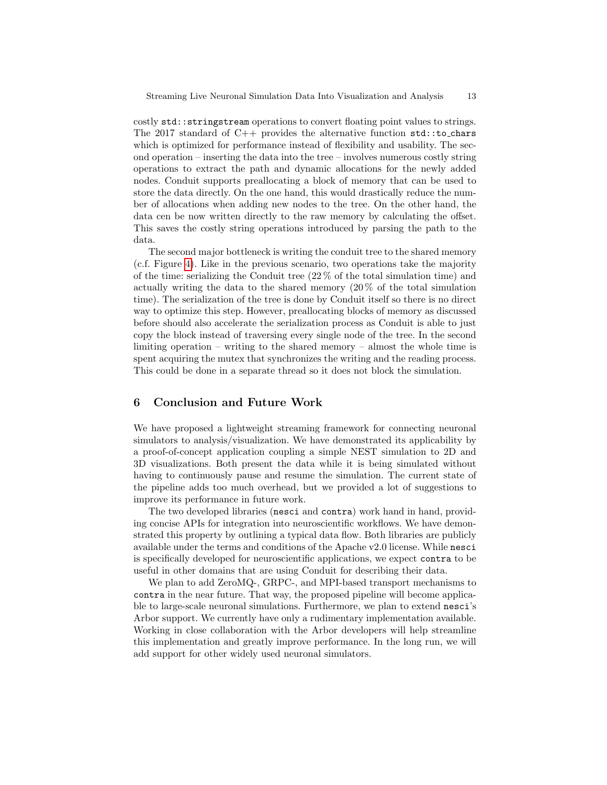costly std::stringstream operations to convert floating point values to strings. The 2017 standard of  $C++$  provides the alternative function  $\text{std}$ :: $\text{to\_chars}$ which is optimized for performance instead of flexibility and usability. The second operation – inserting the data into the tree – involves numerous costly string operations to extract the path and dynamic allocations for the newly added nodes. Conduit supports preallocating a block of memory that can be used to store the data directly. On the one hand, this would drastically reduce the number of allocations when adding new nodes to the tree. On the other hand, the data cen be now written directly to the raw memory by calculating the offset. This saves the costly string operations introduced by parsing the path to the data.

The second major bottleneck is writing the conduit tree to the shared memory (c.f. Figure [4\)](#page-8-0). Like in the previous scenario, two operations take the majority of the time: serializing the Conduit tree (22 % of the total simulation time) and actually writing the data to the shared memory  $(20\%$  of the total simulation time). The serialization of the tree is done by Conduit itself so there is no direct way to optimize this step. However, preallocating blocks of memory as discussed before should also accelerate the serialization process as Conduit is able to just copy the block instead of traversing every single node of the tree. In the second limiting operation – writing to the shared memory – almost the whole time is spent acquiring the mutex that synchronizes the writing and the reading process. This could be done in a separate thread so it does not block the simulation.

## <span id="page-12-0"></span>6 Conclusion and Future Work

We have proposed a lightweight streaming framework for connecting neuronal simulators to analysis/visualization. We have demonstrated its applicability by a proof-of-concept application coupling a simple NEST simulation to 2D and 3D visualizations. Both present the data while it is being simulated without having to continuously pause and resume the simulation. The current state of the pipeline adds too much overhead, but we provided a lot of suggestions to improve its performance in future work.

The two developed libraries (nesci and contra) work hand in hand, providing concise APIs for integration into neuroscientific workflows. We have demonstrated this property by outlining a typical data flow. Both libraries are publicly available under the terms and conditions of the Apache v2.0 license. While nesci is specifically developed for neuroscientific applications, we expect contra to be useful in other domains that are using Conduit for describing their data.

We plan to add ZeroMQ-, GRPC-, and MPI-based transport mechanisms to contra in the near future. That way, the proposed pipeline will become applicable to large-scale neuronal simulations. Furthermore, we plan to extend nesci's Arbor support. We currently have only a rudimentary implementation available. Working in close collaboration with the Arbor developers will help streamline this implementation and greatly improve performance. In the long run, we will add support for other widely used neuronal simulators.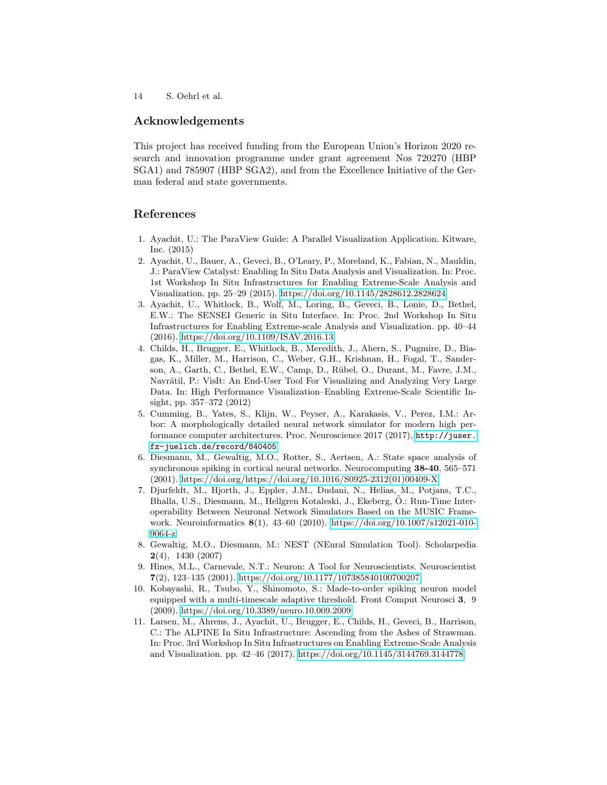## Acknowledgements

This project has received funding from the European Union's Horizon 2020 research and innovation programme under grant agreement Nos 720270 (HBP SGA1) and 785907 (HBP SGA2), and from the Excellence Initiative of the German federal and state governments.

## References

- <span id="page-13-5"></span>1. Ayachit, U.: The ParaView Guide: A Parallel Visualization Application. Kitware, Inc. (2015)
- <span id="page-13-4"></span>2. Ayachit, U., Bauer, A., Geveci, B., O'Leary, P., Moreland, K., Fabian, N., Mauldin, J.: ParaView Catalyst: Enabling In Situ Data Analysis and Visualization. In: Proc. 1st Workshop In Situ Infrastructures for Enabling Extreme-Scale Analysis and Visualization. pp. 25–29 (2015).<https://doi.org/10.1145/2828612.2828624>
- <span id="page-13-7"></span>3. Ayachit, U., Whitlock, B., Wolf, M., Loring, B., Geveci, B., Lonie, D., Bethel, E.W.: The SENSEI Generic in Situ Interface. In: Proc. 2nd Workshop In Situ Infrastructures for Enabling Extreme-scale Analysis and Visualization. pp. 40–44 (2016).<https://doi.org/10.1109/ISAV.2016.13>
- <span id="page-13-6"></span>4. Childs, H., Brugger, E., Whitlock, B., Meredith, J., Ahern, S., Pugmire, D., Biagas, K., Miller, M., Harrison, C., Weber, G.H., Krishnan, H., Fogal, T., Sanderson, A., Garth, C., Bethel, E.W., Camp, D., Rübel, O., Durant, M., Favre, J.M., Navrátil, P.: VisIt: An End-User Tool For Visualizing and Analyzing Very Large Data. In: High Performance Visualization–Enabling Extreme-Scale Scientific Insight, pp. 357–372 (2012)
- <span id="page-13-1"></span>5. Cumming, B., Yates, S., Klijn, W., Peyser, A., Karakasis, V., Perez, I.M.: Arbor: A morphologically detailed neural network simulator for modern high performance computer architectures. Proc. Neuroscience 2017 (2017), [http://juser.](http://juser.fz-juelich.de/record/840405) [fz-juelich.de/record/840405](http://juser.fz-juelich.de/record/840405)
- <span id="page-13-9"></span>6. Diesmann, M., Gewaltig, M.O., Rotter, S., Aertsen, A.: State space analysis of synchronous spiking in cortical neural networks. Neurocomputing 38-40, 565–571 (2001). [https://doi.org/https://doi.org/10.1016/S0925-2312\(01\)00409-X](https://doi.org/https://doi.org/10.1016/S0925-2312(01)00409-X)
- <span id="page-13-3"></span>7. Djurfeldt, M., Hjorth, J., Eppler, J.M., Dudani, N., Helias, M., Potjans, T.C., Bhalla, U.S., Diesmann, M., Hellgren Kotaleski, J., Ekeberg, O.: Run-Time Inter- ¨ operability Between Neuronal Network Simulators Based on the MUSIC Framework. Neuroinformatics 8(1), 43–60 (2010). [https://doi.org/10.1007/s12021-010-](https://doi.org/10.1007/s12021-010-9064-z) [9064-z](https://doi.org/10.1007/s12021-010-9064-z)
- <span id="page-13-0"></span>8. Gewaltig, M.O., Diesmann, M.: NEST (NEural Simulation Tool). Scholarpedia 2(4), 1430 (2007)
- <span id="page-13-2"></span>9. Hines, M.L., Carnevale, N.T.: Neuron: A Tool for Neuroscientists. Neuroscientist 7(2), 123–135 (2001).<https://doi.org/10.1177/107385840100700207>
- <span id="page-13-10"></span>10. Kobayashi, R., Tsubo, Y., Shinomoto, S.: Made-to-order spiking neuron model equipped with a multi-timescale adaptive threshold. Front Comput Neurosci 3, 9 (2009).<https://doi.org/10.3389/neuro.10.009.2009>
- <span id="page-13-8"></span>11. Larsen, M., Ahrens, J., Ayachit, U., Brugger, E., Childs, H., Geveci, B., Harrison, C.: The ALPINE In Situ Infrastructure: Ascending from the Ashes of Strawman. In: Proc. 3rd Workshop In Situ Infrastructures on Enabling Extreme-Scale Analysis and Visualization. pp. 42–46 (2017).<https://doi.org/10.1145/3144769.3144778>